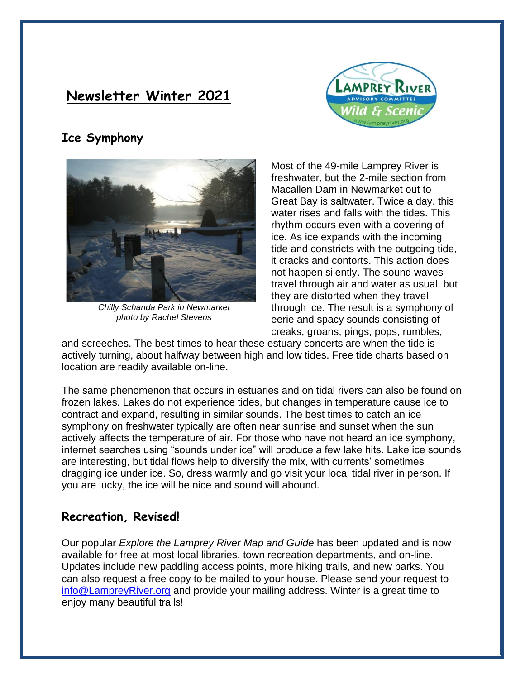# **Newsletter Winter 2021**



## **Ice Symphony**



*Chilly Schanda Park in Newmarket photo by Rachel Stevens*

Most of the 49-mile Lamprey River is freshwater, but the 2-mile section from Macallen Dam in Newmarket out to Great Bay is saltwater. Twice a day, this water rises and falls with the tides. This rhythm occurs even with a covering of ice. As ice expands with the incoming tide and constricts with the outgoing tide, it cracks and contorts. This action does not happen silently. The sound waves travel through air and water as usual, but they are distorted when they travel through ice. The result is a symphony of eerie and spacy sounds consisting of creaks, groans, pings, pops, rumbles,

and screeches. The best times to hear these estuary concerts are when the tide is actively turning, about halfway between high and low tides. Free tide charts based on location are readily available on-line.

The same phenomenon that occurs in estuaries and on tidal rivers can also be found on frozen lakes. Lakes do not experience tides, but changes in temperature cause ice to contract and expand, resulting in similar sounds. The best times to catch an ice symphony on freshwater typically are often near sunrise and sunset when the sun actively affects the temperature of air. For those who have not heard an ice symphony, internet searches using "sounds under ice" will produce a few lake hits. Lake ice sounds are interesting, but tidal flows help to diversify the mix, with currents' sometimes dragging ice under ice. So, dress warmly and go visit your local tidal river in person. If you are lucky, the ice will be nice and sound will abound.

#### **Recreation, Revised!**

Our popular *Explore the Lamprey River Map and Guide* has been updated and is now available for free at most local libraries, town recreation departments, and on-line. Updates include new paddling access points, more hiking trails, and new parks. You can also request a free copy to be mailed to your house. Please send your request to [info@LampreyRiver.org](mailto:info@LampreyRiver.org) and provide your mailing address. Winter is a great time to enjoy many beautiful trails!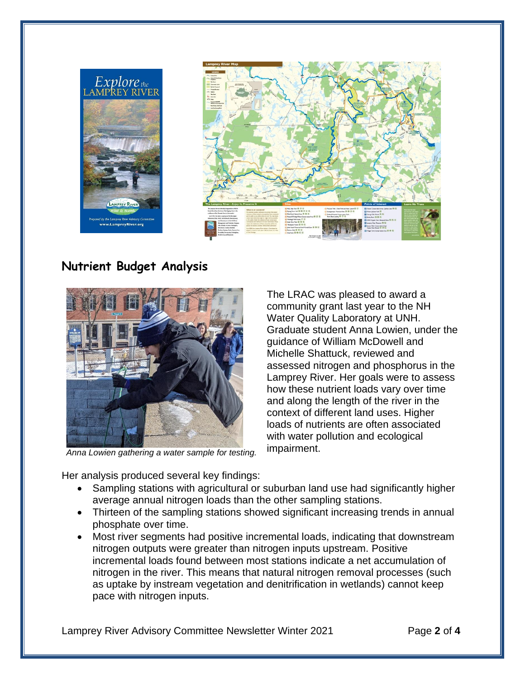

# **Nutrient Budget Analysis**



*Anna Lowien gathering a water sample for testing.* 

The LRAC was pleased to award a community grant last year to the NH Water Quality Laboratory at UNH. Graduate student Anna Lowien, under the guidance of William McDowell and Michelle Shattuck, reviewed and assessed nitrogen and phosphorus in the Lamprey River. Her goals were to assess how these nutrient loads vary over time and along the length of the river in the context of different land uses. Higher loads of nutrients are often associated with water pollution and ecological impairment.

Her analysis produced several key findings:

- Sampling stations with agricultural or suburban land use had significantly higher average annual nitrogen loads than the other sampling stations.
- Thirteen of the sampling stations showed significant increasing trends in annual phosphate over time.
- Most river segments had positive incremental loads, indicating that downstream nitrogen outputs were greater than nitrogen inputs upstream. Positive incremental loads found between most stations indicate a net accumulation of nitrogen in the river. This means that natural nitrogen removal processes (such as uptake by instream vegetation and denitrification in wetlands) cannot keep pace with nitrogen inputs.

Lamprey River Advisory Committee Newsletter Winter 2021 Page **2** of **4**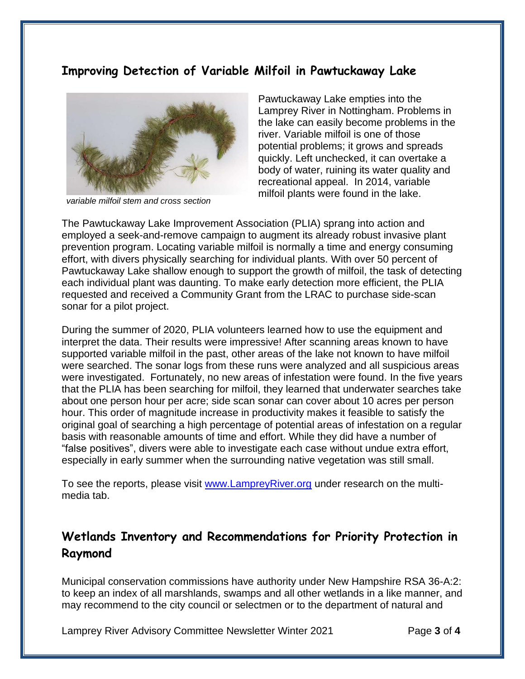#### **Improving Detection of Variable Milfoil in Pawtuckaway Lake**



*variable milfoil stem and cross section*

Pawtuckaway Lake empties into the Lamprey River in Nottingham. Problems in the lake can easily become problems in the river. Variable milfoil is one of those potential problems; it grows and spreads quickly. Left unchecked, it can overtake a body of water, ruining its water quality and recreational appeal. In 2014, variable milfoil plants were found in the lake.

The Pawtuckaway Lake Improvement Association (PLIA) sprang into action and employed a seek-and-remove campaign to augment its already robust invasive plant prevention program. Locating variable milfoil is normally a time and energy consuming effort, with divers physically searching for individual plants. With over 50 percent of Pawtuckaway Lake shallow enough to support the growth of milfoil, the task of detecting each individual plant was daunting. To make early detection more efficient, the PLIA requested and received a Community Grant from the LRAC to purchase side-scan sonar for a pilot project.

During the summer of 2020, PLIA volunteers learned how to use the equipment and interpret the data. Their results were impressive! After scanning areas known to have supported variable milfoil in the past, other areas of the lake not known to have milfoil were searched. The sonar logs from these runs were analyzed and all suspicious areas were investigated. Fortunately, no new areas of infestation were found. In the five years that the PLIA has been searching for milfoil, they learned that underwater searches take about one person hour per acre; side scan sonar can cover about 10 acres per person hour. This order of magnitude increase in productivity makes it feasible to satisfy the original goal of searching a high percentage of potential areas of infestation on a regular basis with reasonable amounts of time and effort. While they did have a number of "false positives", divers were able to investigate each case without undue extra effort, especially in early summer when the surrounding native vegetation was still small.

To see the reports, please visit [www.LampreyRiver.org](http://www.lampreyriver.org/) under research on the multimedia tab.

### **Wetlands Inventory and Recommendations for Priority Protection in Raymond**

Municipal conservation commissions have authority under New Hampshire RSA 36-A:2: to keep an index of all marshlands, swamps and all other wetlands in a like manner, and may recommend to the city council or selectmen or to the department of natural and

Lamprey River Advisory Committee Newsletter Winter 2021 Page **3** of **4**